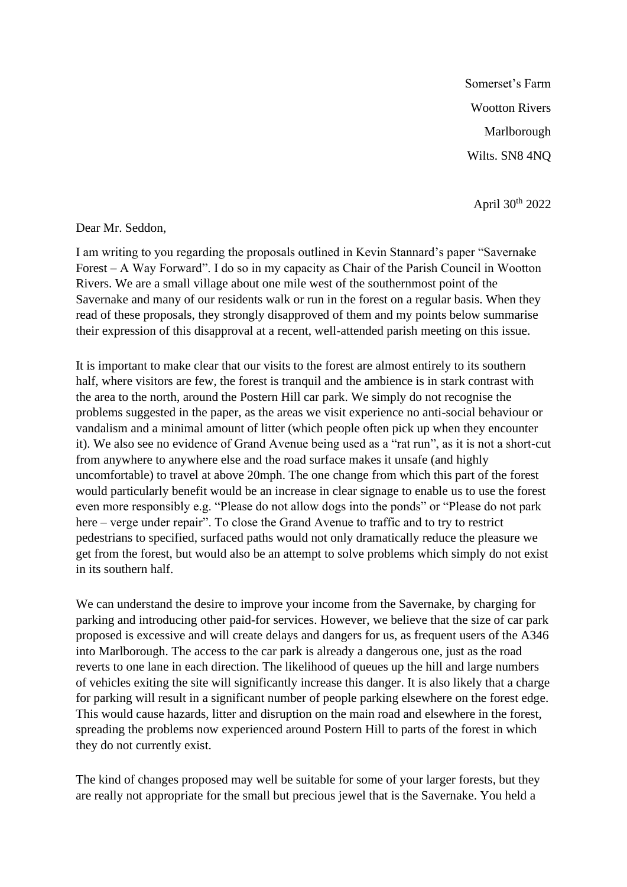Somerset's Farm Wootton Rivers Marlborough Wilts. SN8 4NQ

April 30th 2022

Dear Mr. Seddon,

I am writing to you regarding the proposals outlined in Kevin Stannard's paper "Savernake Forest – A Way Forward". I do so in my capacity as Chair of the Parish Council in Wootton Rivers. We are a small village about one mile west of the southernmost point of the Savernake and many of our residents walk or run in the forest on a regular basis. When they read of these proposals, they strongly disapproved of them and my points below summarise their expression of this disapproval at a recent, well-attended parish meeting on this issue.

It is important to make clear that our visits to the forest are almost entirely to its southern half, where visitors are few, the forest is tranquil and the ambience is in stark contrast with the area to the north, around the Postern Hill car park. We simply do not recognise the problems suggested in the paper, as the areas we visit experience no anti-social behaviour or vandalism and a minimal amount of litter (which people often pick up when they encounter it). We also see no evidence of Grand Avenue being used as a "rat run", as it is not a short-cut from anywhere to anywhere else and the road surface makes it unsafe (and highly uncomfortable) to travel at above 20mph. The one change from which this part of the forest would particularly benefit would be an increase in clear signage to enable us to use the forest even more responsibly e.g. "Please do not allow dogs into the ponds" or "Please do not park here – verge under repair". To close the Grand Avenue to traffic and to try to restrict pedestrians to specified, surfaced paths would not only dramatically reduce the pleasure we get from the forest, but would also be an attempt to solve problems which simply do not exist in its southern half.

We can understand the desire to improve your income from the Savernake, by charging for parking and introducing other paid-for services. However, we believe that the size of car park proposed is excessive and will create delays and dangers for us, as frequent users of the A346 into Marlborough. The access to the car park is already a dangerous one, just as the road reverts to one lane in each direction. The likelihood of queues up the hill and large numbers of vehicles exiting the site will significantly increase this danger. It is also likely that a charge for parking will result in a significant number of people parking elsewhere on the forest edge. This would cause hazards, litter and disruption on the main road and elsewhere in the forest, spreading the problems now experienced around Postern Hill to parts of the forest in which they do not currently exist.

The kind of changes proposed may well be suitable for some of your larger forests, but they are really not appropriate for the small but precious jewel that is the Savernake. You held a